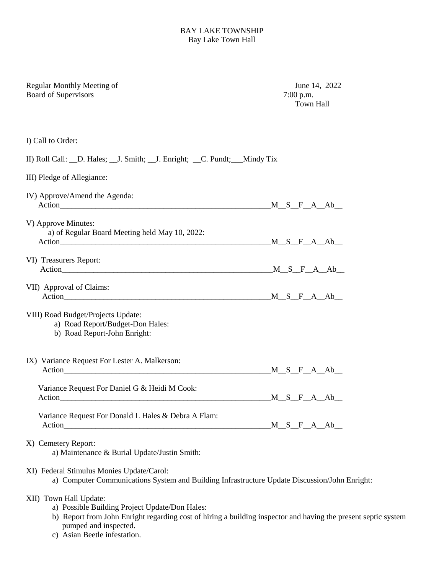## BAY LAKE TOWNSHIP Bay Lake Town Hall

| Regular Monthly Meeting of<br><b>Board of Supervisors</b>                                                                                  | June 14, 2022<br>$7:00$ p.m.<br><b>Town Hall</b> |
|--------------------------------------------------------------------------------------------------------------------------------------------|--------------------------------------------------|
| I) Call to Order:                                                                                                                          |                                                  |
| II) Roll Call: __D. Hales; __J. Smith; __J. Enright; __C. Pundt; __Mindy Tix                                                               |                                                  |
| III) Pledge of Allegiance:                                                                                                                 |                                                  |
| IV) Approve/Amend the Agenda:<br>$Action$ $M_S_F_A_A_b$                                                                                    |                                                  |
| V) Approve Minutes:<br>a) of Regular Board Meeting held May 10, 2022:                                                                      | $M_S_F_A_A_b$                                    |
| VI) Treasurers Report:                                                                                                                     |                                                  |
| VII) Approval of Claims:                                                                                                                   |                                                  |
| VIII) Road Budget/Projects Update:<br>a) Road Report/Budget-Don Hales:<br>b) Road Report-John Enright:                                     |                                                  |
| IX) Variance Request For Lester A. Malkerson:                                                                                              | $M_S_F_A_A_b$                                    |
| Variance Request For Daniel G & Heidi M Cook:                                                                                              | $M_S F A Ab$                                     |
| Variance Request For Donald L Hales & Debra A Flam:                                                                                        | $M_S_F_A_A$                                      |
| X) Cemetery Report:<br>a) Maintenance & Burial Update/Justin Smith:                                                                        |                                                  |
| XI) Federal Stimulus Monies Update/Carol:<br>a) Computer Communications System and Building Infrastructure Update Discussion/John Enright: |                                                  |
| XII) Town Hall Update:                                                                                                                     |                                                  |

- a) Possible Building Project Update/Don Hales:
- b) Report from John Enright regarding cost of hiring a building inspector and having the present septic system pumped and inspected.
- c) Asian Beetle infestation.